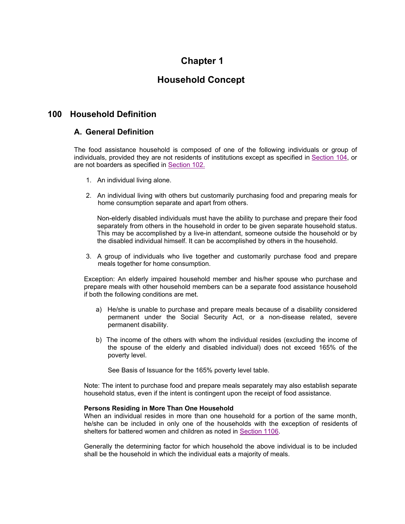# **Chapter 1**

# **Household Concept**

# **100 Household Definition**

## **A. General Definition**

The food assistance household is composed of one of the following individuals or group of individuals, provided they are not residents of institutions except as specified in Section 104, or are not boarders as specified in Section 102.

- 1. An individual living alone.
- 2. An individual living with others but customarily purchasing food and preparing meals for home consumption separate and apart from others.

Non-elderly disabled individuals must have the ability to purchase and prepare their food separately from others in the household in order to be given separate household status. This may be accomplished by a live-in attendant, someone outside the household or by the disabled individual himself. It can be accomplished by others in the household.

3. A group of individuals who live together and customarily purchase food and prepare meals together for home consumption.

Exception: An elderly impaired household member and his/her spouse who purchase and prepare meals with other household members can be a separate food assistance household if both the following conditions are met.

- a) He/she is unable to purchase and prepare meals because of a disability considered permanent under the Social Security Act, or a non-disease related, severe permanent disability.
- b) The income of the others with whom the individual resides (excluding the income of the spouse of the elderly and disabled individual) does not exceed 165% of the poverty level.

See Basis of Issuance for the 165% poverty level table.

Note: The intent to purchase food and prepare meals separately may also establish separate household status, even if the intent is contingent upon the receipt of food assistance.

#### **Persons Residing in More Than One Household**

When an individual resides in more than one household for a portion of the same month, he/she can be included in only one of the households with the exception of residents of shelters for battered women and children as noted in Section 1106.

Generally the determining factor for which household the above individual is to be included shall be the household in which the individual eats a majority of meals.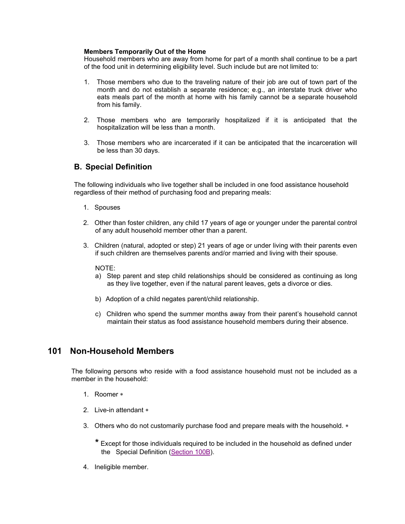#### **Members Temporarily Out of the Home**

Household members who are away from home for part of a month shall continue to be a part of the food unit in determining eligibility level. Such include but are not limited to:

- 1. Those members who due to the traveling nature of their job are out of town part of the month and do not establish a separate residence; e.g., an interstate truck driver who eats meals part of the month at home with his family cannot be a separate household from his family.
- 2. Those members who are temporarily hospitalized if it is anticipated that the hospitalization will be less than a month.
- 3. Those members who are incarcerated if it can be anticipated that the incarceration will be less than 30 days.

## **B. Special Definition**

The following individuals who live together shall be included in one food assistance household regardless of their method of purchasing food and preparing meals:

- 1. Spouses
- 2. Other than foster children, any child 17 years of age or younger under the parental control of any adult household member other than a parent.
- 3. Children (natural, adopted or step) 21 years of age or under living with their parents even if such children are themselves parents and/or married and living with their spouse.

#### NOTE:

- a) Step parent and step child relationships should be considered as continuing as long as they live together, even if the natural parent leaves, gets a divorce or dies.
- b) Adoption of a child negates parent/child relationship.
- c) Children who spend the summer months away from their parent's household cannot maintain their status as food assistance household members during their absence.

# **101 Non-Household Members**

The following persons who reside with a food assistance household must not be included as a member in the household:

- 1. Roomer
- 2. Live-in attendant
- 3. Others who do not customarily purchase food and prepare meals with the household. \*

**\*** Except for those individuals required to be included in the household as defined under the Special Definition (Section 100B).

4. Ineligible member.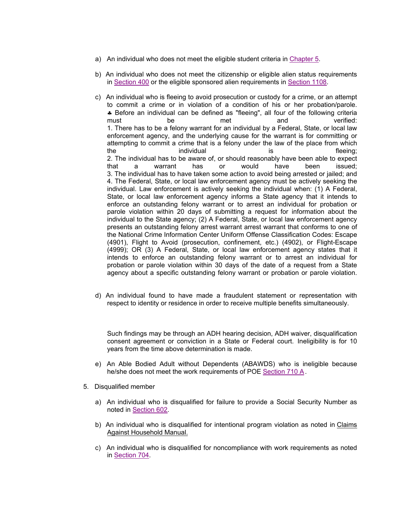- a) An individual who does not meet the eligible student criteria in Chapter 5.
- b) An individual who does not meet the citizenship or eligible alien status requirements in Section 400 or the eligible sponsored alien requirements in Section 1108.
- c) An individual who is fleeing to avoid prosecution or custody for a crime, or an attempt to commit a crime or in violation of a condition of his or her probation/parole. Before an individual can be defined as "fleeing", all four of the following criteria must be met and verified: 1. There has to be a felony warrant for an individual by a Federal, State, or local law enforcement agency, and the underlying cause for the warrant is for committing or attempting to commit a crime that is a felony under the law of the place from which the individual is the fleeing; 2. The individual has to be aware of, or should reasonably have been able to expect that a warrant has or would have been issued; 3. The individual has to have taken some action to avoid being arrested or jailed; and 4. The Federal, State, or local law enforcement agency must be actively seeking the individual. Law enforcement is actively seeking the individual when: (1) A Federal, State, or local law enforcement agency informs a State agency that it intends to enforce an outstanding felony warrant or to arrest an individual for probation or parole violation within 20 days of submitting a request for information about the individual to the State agency; (2) A Federal, State, or local law enforcement agency presents an outstanding felony arrest warrant arrest warrant that conforms to one of the National Crime Information Center Uniform Offense Classification Codes: Escape (4901), Flight to Avoid (prosecution, confinement, etc.) (4902), or Flight-Escape (4999); OR (3) A Federal, State, or local law enforcement agency states that it intends to enforce an outstanding felony warrant or to arrest an individual for probation or parole violation within 30 days of the date of a request from a State agency about a specific outstanding felony warrant or probation or parole violation.
- d) An individual found to have made a fraudulent statement or representation with respect to identity or residence in order to receive multiple benefits simultaneously.

Such findings may be through an ADH hearing decision, ADH waiver, disqualification consent agreement or conviction in a State or Federal court. Ineligibility is for 10 years from the time above determination is made.

- e) An Able Bodied Adult without Dependents (ABAWDS) who is ineligible because he/she does not meet the work requirements of POE Section 710 A.
- 5. Disqualified member
	- a) An individual who is disqualified for failure to provide a Social Security Number as noted in Section 602.
	- b) An individual who is disqualified for intentional program violation as noted in Claims Against Household Manual.
	- c) An individual who is disqualified for noncompliance with work requirements as noted in Section 704.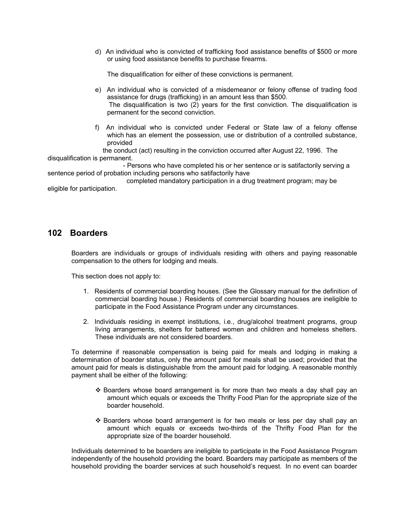d) An individual who is convicted of trafficking food assistance benefits of \$500 or more or using food assistance benefits to purchase firearms.

The disqualification for either of these convictions is permanent.

- e) An individual who is convicted of a misdemeanor or felony offense of trading food assistance for drugs (trafficking) in an amount less than \$500. The disqualification is two (2) years for the first conviction. The disqualification is permanent for the second conviction.
- f) An individual who is convicted under Federal or State law of a felony offense which has an element the possession, use or distribution of a controlled substance, provided

 the conduct (act) resulting in the conviction occurred after August 22, 1996. The disqualification is permanent.

 - Persons who have completed his or her sentence or is satifactorily serving a sentence period of probation including persons who satifactorily have

 completed mandatory participation in a drug treatment program; may be eligible for participation.

# **102 Boarders**

Boarders are individuals or groups of individuals residing with others and paying reasonable compensation to the others for lodging and meals.

This section does not apply to:

- 1. Residents of commercial boarding houses. (See the Glossary manual for the definition of commercial boarding house.) Residents of commercial boarding houses are ineligible to participate in the Food Assistance Program under any circumstances.
- 2. Individuals residing in exempt institutions, i.e., drug/alcohol treatment programs, group living arrangements, shelters for battered women and children and homeless shelters. These individuals are not considered boarders.

To determine if reasonable compensation is being paid for meals and lodging in making a determination of boarder status, only the amount paid for meals shall be used; provided that the amount paid for meals is distinguishable from the amount paid for lodging. A reasonable monthly payment shall be either of the following:

- $\div$  Boarders whose board arrangement is for more than two meals a day shall pay an amount which equals or exceeds the Thrifty Food Plan for the appropriate size of the boarder household.
- Boarders whose board arrangement is for two meals or less per day shall pay an amount which equals or exceeds two-thirds of the Thrifty Food Plan for the appropriate size of the boarder household.

Individuals determined to be boarders are ineligible to participate in the Food Assistance Program independently of the household providing the board. Boarders may participate as members of the household providing the boarder services at such household's request. In no event can boarder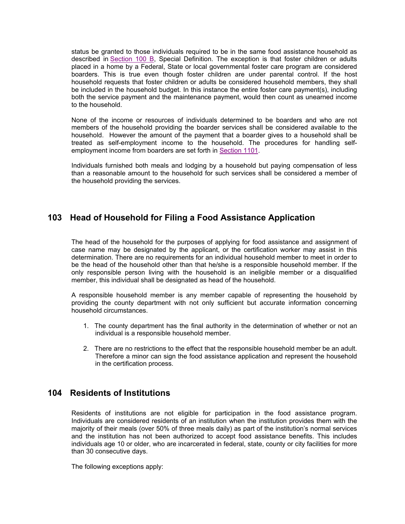status be granted to those individuals required to be in the same food assistance household as described in Section 100 B, Special Definition. The exception is that foster children or adults placed in a home by a Federal, State or local governmental foster care program are considered boarders. This is true even though foster children are under parental control. If the host household requests that foster children or adults be considered household members, they shall be included in the household budget. In this instance the entire foster care payment(s), including both the service payment and the maintenance payment, would then count as unearned income to the household.

None of the income or resources of individuals determined to be boarders and who are not members of the household providing the boarder services shall be considered available to the household. However the amount of the payment that a boarder gives to a household shall be treated as self-employment income to the household. The procedures for handling selfemployment income from boarders are set forth in Section 1101.

Individuals furnished both meals and lodging by a household but paying compensation of less than a reasonable amount to the household for such services shall be considered a member of the household providing the services.

# **103 Head of Household for Filing a Food Assistance Application**

The head of the household for the purposes of applying for food assistance and assignment of case name may be designated by the applicant, or the certification worker may assist in this determination. There are no requirements for an individual household member to meet in order to be the head of the household other than that he/she is a responsible household member. If the only responsible person living with the household is an ineligible member or a disqualified member, this individual shall be designated as head of the household.

A responsible household member is any member capable of representing the household by providing the county department with not only sufficient but accurate information concerning household circumstances.

- 1. The county department has the final authority in the determination of whether or not an individual is a responsible household member.
- 2. There are no restrictions to the effect that the responsible household member be an adult. Therefore a minor can sign the food assistance application and represent the household in the certification process.

# **104 Residents of Institutions**

Residents of institutions are not eligible for participation in the food assistance program. Individuals are considered residents of an institution when the institution provides them with the majority of their meals (over 50% of three meals daily) as part of the institution's normal services and the institution has not been authorized to accept food assistance benefits. This includes individuals age 10 or older, who are incarcerated in federal, state, county or city facilities for more than 30 consecutive days.

The following exceptions apply: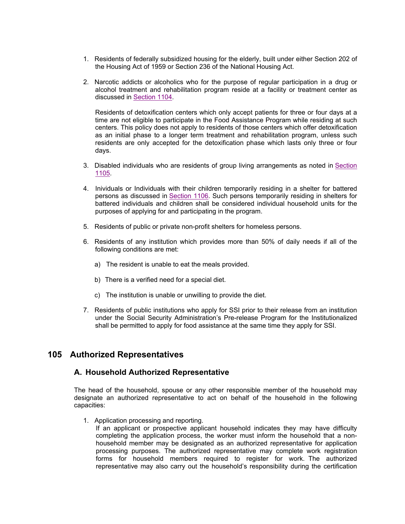- 1. Residents of federally subsidized housing for the elderly, built under either Section 202 of the Housing Act of 1959 or Section 236 of the National Housing Act.
- 2. Narcotic addicts or alcoholics who for the purpose of regular participation in a drug or alcohol treatment and rehabilitation program reside at a facility or treatment center as discussed in Section 1104.

Residents of detoxification centers which only accept patients for three or four days at a time are not eligible to participate in the Food Assistance Program while residing at such centers. This policy does not apply to residents of those centers which offer detoxification as an initial phase to a longer term treatment and rehabilitation program, unless such residents are only accepted for the detoxification phase which lasts only three or four days.

- 3. Disabled individuals who are residents of group living arrangements as noted in Section 1105.
- 4. Inividuals or Individuals with their children temporarily residing in a shelter for battered persons as discussed in Section 1106. Such persons temporarily residing in shelters for battered individuals and children shall be considered individual household units for the purposes of applying for and participating in the program.
- 5. Residents of public or private non-profit shelters for homeless persons.
- 6. Residents of any institution which provides more than 50% of daily needs if all of the following conditions are met:
	- a) The resident is unable to eat the meals provided.
	- b) There is a verified need for a special diet.
	- c) The institution is unable or unwilling to provide the diet.
- 7. Residents of public institutions who apply for SSI prior to their release from an institution under the Social Security Administration's Pre-release Program for the Institutionalized shall be permitted to apply for food assistance at the same time they apply for SSI.

# **105 Authorized Representatives**

#### **A. Household Authorized Representative**

The head of the household, spouse or any other responsible member of the household may designate an authorized representative to act on behalf of the household in the following capacities:

1. Application processing and reporting.

If an applicant or prospective applicant household indicates they may have difficulty completing the application process, the worker must inform the household that a nonhousehold member may be designated as an authorized representative for application processing purposes. The authorized representative may complete work registration forms for household members required to register for work. The authorized representative may also carry out the household's responsibility during the certification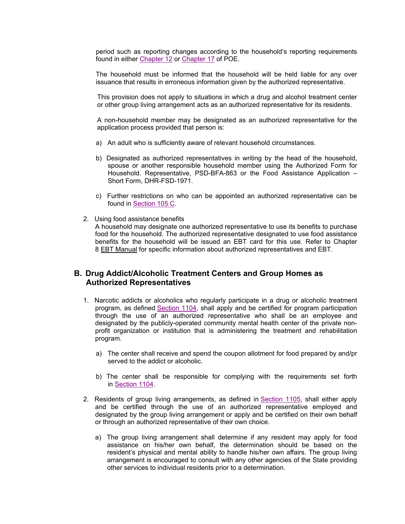period such as reporting changes according to the household's reporting requirements found in either Chapter 12 or Chapter 17 of POE.

The household must be informed that the household will be held liable for any over issuance that results in erroneous information given by the authorized representative.

This provision does not apply to situations in which a drug and alcohol treatment center or other group living arrangement acts as an authorized representative for its residents.

A non-household member may be designated as an authorized representative for the application process provided that person is:

- a) An adult who is sufficiently aware of relevant household circumstances.
- b) Designated as authorized representatives in writing by the head of the household, spouse or another responsible household member using the Authorized Form for Household. Representative, PSD-BFA-863 or the Food Assistance Application – Short Form, DHR-FSD-1971.
- c) Further restrictions on who can be appointed an authorized representative can be found in Section 105 C.
- 2. Using food assistance benefits

A household may designate one authorized representative to use its benefits to purchase food for the household. The authorized representative designated to use food assistance benefits for the household will be issued an EBT card for this use. Refer to Chapter 8 EBT Manual for specific information about authorized representatives and EBT.

# **B. Drug Addict/Alcoholic Treatment Centers and Group Homes as Authorized Representatives**

- 1. Narcotic addicts or alcoholics who regularly participate in a drug or alcoholic treatment program, as defined Section 1104, shall apply and be certified for program participation through the use of an authorized representative who shall be an employee and designated by the publicly-operated community mental health center of the private nonprofit organization or institution that is administering the treatment and rehabilitation program.
	- a) The center shall receive and spend the coupon allotment for food prepared by and/pr served to the addict or alcoholic.
	- b) The center shall be responsible for complying with the requirements set forth in Section 1104.
- 2. Residents of group living arrangements, as defined in Section 1105, shall either apply and be certified through the use of an authorized representative employed and designated by the group living arrangement or apply and be certified on their own behalf or through an authorized representative of their own choice.
	- a) The group living arrangement shall determine if any resident may apply for food assistance on his/her own behalf, the determination should be based on the resident's physical and mental ability to handle his/her own affairs. The group living arrangement is encouraged to consult with any other agencies of the State providing other services to individual residents prior to a determination.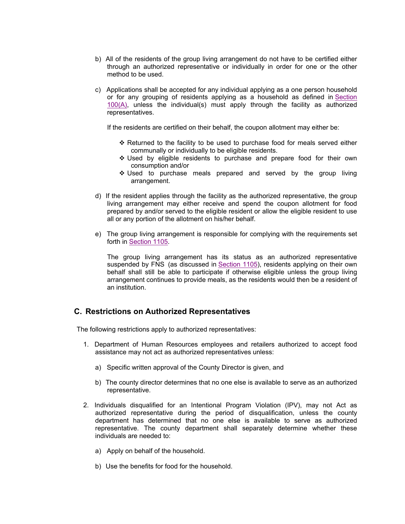- b) All of the residents of the group living arrangement do not have to be certified either through an authorized representative or individually in order for one or the other method to be used.
- c) Applications shall be accepted for any individual applying as a one person household or for any grouping of residents applying as a household as defined in Section 100(A), unless the individual(s) must apply through the facility as authorized representatives.

If the residents are certified on their behalf, the coupon allotment may either be:

- $\div$  Returned to the facility to be used to purchase food for meals served either communally or individually to be eligible residents.
- $\div$  Used by eligible residents to purchase and prepare food for their own consumption and/or
- Used to purchase meals prepared and served by the group living arrangement.
- d) If the resident applies through the facility as the authorized representative, the group living arrangement may either receive and spend the coupon allotment for food prepared by and/or served to the eligible resident or allow the eligible resident to use all or any portion of the allotment on his/her behalf.
- e) The group living arrangement is responsible for complying with the requirements set forth in Section 1105.

The group living arrangement has its status as an authorized representative suspended by FNS (as discussed in Section 1105), residents applying on their own behalf shall still be able to participate if otherwise eligible unless the group living arrangement continues to provide meals, as the residents would then be a resident of an institution.

# **C. Restrictions on Authorized Representatives**

The following restrictions apply to authorized representatives:

- 1. Department of Human Resources employees and retailers authorized to accept food assistance may not act as authorized representatives unless:
	- a) Specific written approval of the County Director is given, and
	- b) The county director determines that no one else is available to serve as an authorized representative.
- 2. Individuals disqualified for an Intentional Program Violation (IPV), may not Act as authorized representative during the period of disqualification, unless the county department has determined that no one else is available to serve as authorized representative. The county department shall separately determine whether these individuals are needed to:
	- a) Apply on behalf of the household.
	- b) Use the benefits for food for the household.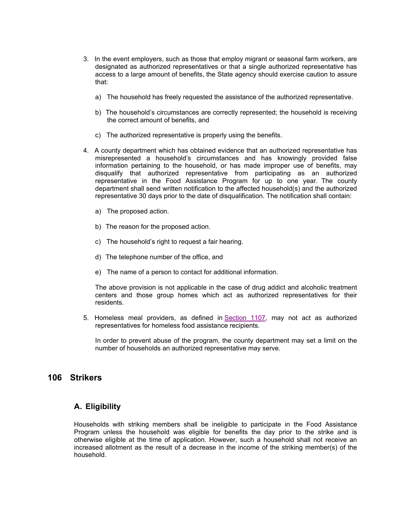- 3. In the event employers, such as those that employ migrant or seasonal farm workers, are designated as authorized representatives or that a single authorized representative has access to a large amount of benefits, the State agency should exercise caution to assure that:
	- a) The household has freely requested the assistance of the authorized representative.
	- b) The household's circumstances are correctly represented; the household is receiving the correct amount of benefits, and
	- c) The authorized representative is properly using the benefits.
- 4. A county department which has obtained evidence that an authorized representative has misrepresented a household's circumstances and has knowingly provided false information pertaining to the household, or has made improper use of benefits, may disqualify that authorized representative from participating as an authorized representative in the Food Assistance Program for up to one year. The county department shall send written notification to the affected household(s) and the authorized representative 30 days prior to the date of disqualification. The notification shall contain:
	- a) The proposed action.
	- b) The reason for the proposed action.
	- c) The household's right to request a fair hearing.
	- d) The telephone number of the office, and
	- e) The name of a person to contact for additional information.

The above provision is not applicable in the case of drug addict and alcoholic treatment centers and those group homes which act as authorized representatives for their residents.

5. Homeless meal providers, as defined in Section 1107, may not act as authorized representatives for homeless food assistance recipients.

In order to prevent abuse of the program, the county department may set a limit on the number of households an authorized representative may serve.

## **106 Strikers**

## **A. Eligibility**

Households with striking members shall be ineligible to participate in the Food Assistance Program unless the household was eligible for benefits the day prior to the strike and is otherwise eligible at the time of application. However, such a household shall not receive an increased allotment as the result of a decrease in the income of the striking member(s) of the household.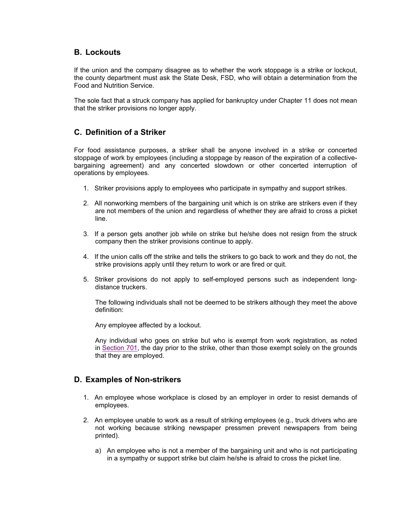# **B. Lockouts**

If the union and the company disagree as to whether the work stoppage is a strike or lockout, the county department must ask the State Desk, FSD, who will obtain a determination from the Food and Nutrition Service.

The sole fact that a struck company has applied for bankruptcy under Chapter 11 does not mean that the striker provisions no longer apply.

## **C. Definition of a Striker**

For food assistance purposes, a striker shall be anyone involved in a strike or concerted stoppage of work by employees (including a stoppage by reason of the expiration of a collectivebargaining agreement) and any concerted slowdown or other concerted interruption of operations by employees.

- 1. Striker provisions apply to employees who participate in sympathy and support strikes.
- 2. All nonworking members of the bargaining unit which is on strike are strikers even if they are not members of the union and regardless of whether they are afraid to cross a picket line.
- 3. If a person gets another job while on strike but he/she does not resign from the struck company then the striker provisions continue to apply.
- 4. If the union calls off the strike and tells the strikers to go back to work and they do not, the strike provisions apply until they return to work or are fired or quit.
- 5. Striker provisions do not apply to self-employed persons such as independent longdistance truckers.

The following individuals shall not be deemed to be strikers although they meet the above definition:

Any employee affected by a lockout.

Any individual who goes on strike but who is exempt from work registration, as noted in Section 701, the day prior to the strike, other than those exempt solely on the grounds that they are employed.

## **D. Examples of Non-strikers**

- 1. An employee whose workplace is closed by an employer in order to resist demands of employees.
- 2. An employee unable to work as a result of striking employees (e.g., truck drivers who are not working because striking newspaper pressmen prevent newspapers from being printed).
	- a) An employee who is not a member of the bargaining unit and who is not participating in a sympathy or support strike but claim he/she is afraid to cross the picket line.